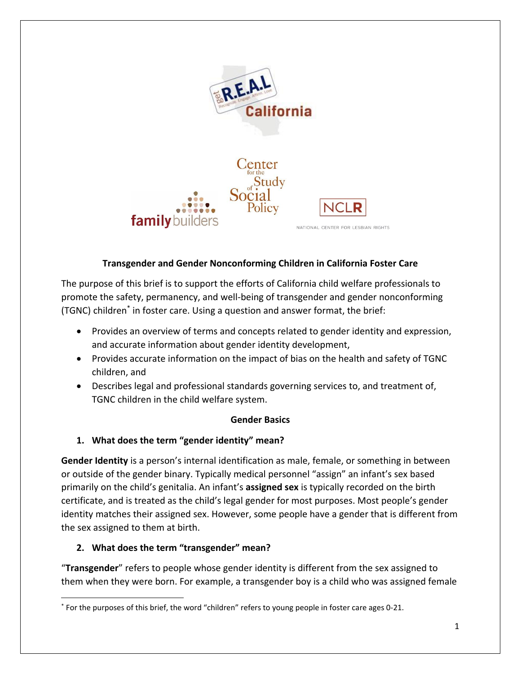

## **Transgender and Gender Nonconforming Children in California Foster Care**

The purpose of this brief is to support the efforts of California child welfare professionals to promote the safety, permanency, and well-being of transgender and gender nonconforming (TGNC) children\* in foster care. Using a question and answer format, the brief:

- Provides an overview of terms and concepts related to gender identity and expression, and accurate information about gender identity development,
- Provides accurate information on the impact of bias on the health and safety of TGNC children, and
- Describes legal and professional standards governing services to, and treatment of, TGNC children in the child welfare system.

#### **Gender Basics**

## **1. What does the term "gender identity" mean?**

**Gender Identity** is a person's internal identification as male, female, or something in between or outside of the gender binary. Typically medical personnel "assign" an infant's sex based primarily on the child's genitalia. An infant's **assigned sex** is typically recorded on the birth certificate, and is treated as the child's legal gender for most purposes. Most people's gender identity matches their assigned sex. However, some people have a gender that is different from the sex assigned to them at birth.

## **2. What does the term "transgender" mean?**

 $\overline{\phantom{a}}$ 

"**Transgender**" refers to people whose gender identity is different from the sex assigned to them when they were born. For example, a transgender boy is a child who was assigned female

<sup>\*</sup> For the purposes of this brief, the word "children" refers to young people in foster care ages 0-21.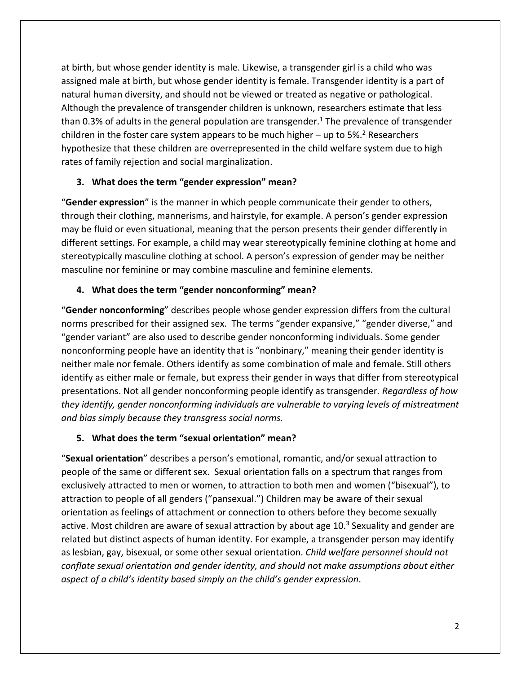at birth, but whose gender identity is male. Likewise, a transgender girl is a child who was assigned male at birth, but whose gender identity is female. Transgender identity is a part of natural human diversity, and should not be viewed or treated as negative or pathological. Although the prevalence of transgender children is unknown, researchers estimate that less than 0.3% of adults in the general population are transgender.<sup>1</sup> The prevalence of transgender children in the foster care system appears to be much higher  $-$  up to 5%.<sup>2</sup> Researchers hypothesize that these children are overrepresented in the child welfare system due to high rates of family rejection and social marginalization.

## **3. What does the term "gender expression" mean?**

"**Gender expression**" is the manner in which people communicate their gender to others, through their clothing, mannerisms, and hairstyle, for example. A person's gender expression may be fluid or even situational, meaning that the person presents their gender differently in different settings. For example, a child may wear stereotypically feminine clothing at home and stereotypically masculine clothing at school. A person's expression of gender may be neither masculine nor feminine or may combine masculine and feminine elements.

## **4. What does the term "gender nonconforming" mean?**

"**Gender nonconforming**" describes people whose gender expression differs from the cultural norms prescribed for their assigned sex. The terms "gender expansive," "gender diverse," and "gender variant" are also used to describe gender nonconforming individuals. Some gender nonconforming people have an identity that is "nonbinary," meaning their gender identity is neither male nor female. Others identify as some combination of male and female. Still others identify as either male or female, but express their gender in ways that differ from stereotypical presentations. Not all gender nonconforming people identify as transgender*. Regardless of how they identify, gender nonconforming individuals are vulnerable to varying levels of mistreatment and bias simply because they transgress social norms.*

## **5. What does the term "sexual orientation" mean?**

"**Sexual orientation**" describes a person's emotional, romantic, and/or sexual attraction to people of the same or different sex. Sexual orientation falls on a spectrum that ranges from exclusively attracted to men or women, to attraction to both men and women ("bisexual"), to attraction to people of all genders ("pansexual.") Children may be aware of their sexual orientation as feelings of attachment or connection to others before they become sexually active. Most children are aware of sexual attraction by about age 10.<sup>3</sup> Sexuality and gender are related but distinct aspects of human identity. For example, a transgender person may identify as lesbian, gay, bisexual, or some other sexual orientation. *Child welfare personnel should not conflate sexual orientation and gender identity, and should not make assumptions about either aspect of a child's identity based simply on the child's gender expression*.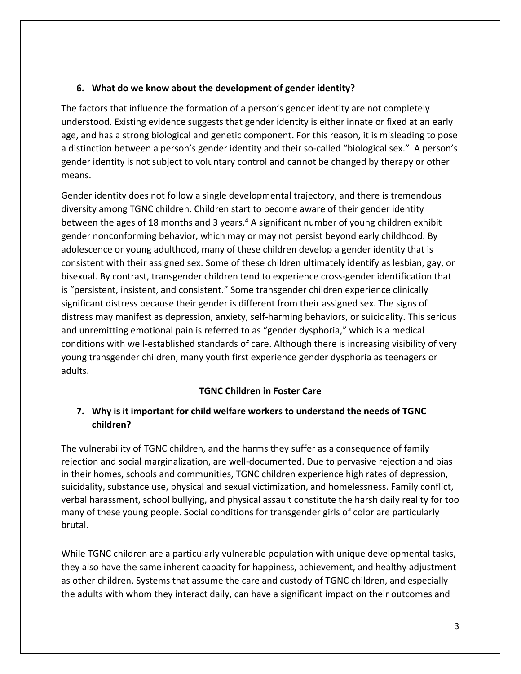### **6. What do we know about the development of gender identity?**

The factors that influence the formation of a person's gender identity are not completely understood. Existing evidence suggests that gender identity is either innate or fixed at an early age, and has a strong biological and genetic component. For this reason, it is misleading to pose a distinction between a person's gender identity and their so-called "biological sex." A person's gender identity is not subject to voluntary control and cannot be changed by therapy or other means.

Gender identity does not follow a single developmental trajectory, and there is tremendous diversity among TGNC children. Children start to become aware of their gender identity between the ages of 18 months and 3 years.<sup>4</sup> A significant number of young children exhibit gender nonconforming behavior, which may or may not persist beyond early childhood. By adolescence or young adulthood, many of these children develop a gender identity that is consistent with their assigned sex. Some of these children ultimately identify as lesbian, gay, or bisexual. By contrast, transgender children tend to experience cross-gender identification that is "persistent, insistent, and consistent." Some transgender children experience clinically significant distress because their gender is different from their assigned sex. The signs of distress may manifest as depression, anxiety, self-harming behaviors, or suicidality. This serious and unremitting emotional pain is referred to as "gender dysphoria," which is a medical conditions with well-established standards of care. Although there is increasing visibility of very young transgender children, many youth first experience gender dysphoria as teenagers or adults.

## **TGNC Children in Foster Care**

## **7. Why is it important for child welfare workers to understand the needs of TGNC children?**

The vulnerability of TGNC children, and the harms they suffer as a consequence of family rejection and social marginalization, are well-documented. Due to pervasive rejection and bias in their homes, schools and communities, TGNC children experience high rates of depression, suicidality, substance use, physical and sexual victimization, and homelessness. Family conflict, verbal harassment, school bullying, and physical assault constitute the harsh daily reality for too many of these young people. Social conditions for transgender girls of color are particularly brutal.

While TGNC children are a particularly vulnerable population with unique developmental tasks, they also have the same inherent capacity for happiness, achievement, and healthy adjustment as other children. Systems that assume the care and custody of TGNC children, and especially the adults with whom they interact daily, can have a significant impact on their outcomes and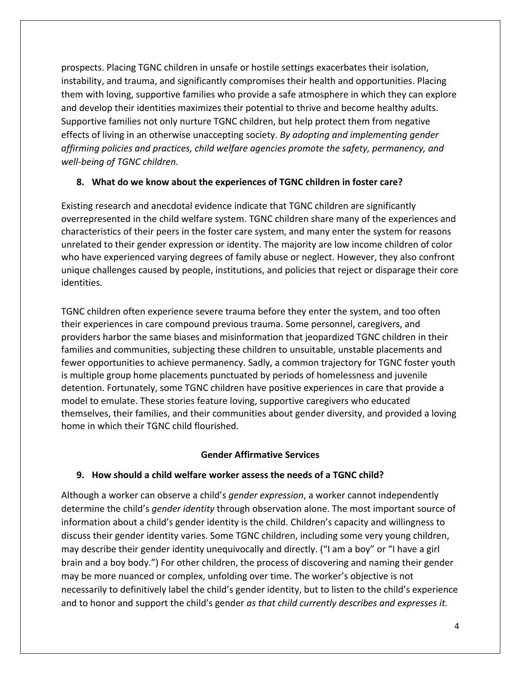prospects. Placing TGNC children in unsafe or hostile settings exacerbates their isolation, instability, and trauma, and significantly compromises their health and opportunities. Placing them with loving, supportive families who provide a safe atmosphere in which they can explore and develop their identities maximizes their potential to thrive and become healthy adults. Supportive families not only nurture TGNC children, but help protect them from negative effects of living in an otherwise unaccepting society. *By adopting and implementing gender affirming policies and practices, child welfare agencies promote the safety, permanency, and well-being of TGNC children.* 

## **8. What do we know about the experiences of TGNC children in foster care?**

Existing research and anecdotal evidence indicate that TGNC children are significantly overrepresented in the child welfare system. TGNC children share many of the experiences and characteristics of their peers in the foster care system, and many enter the system for reasons unrelated to their gender expression or identity. The majority are low income children of color who have experienced varying degrees of family abuse or neglect. However, they also confront unique challenges caused by people, institutions, and policies that reject or disparage their core identities.

TGNC children often experience severe trauma before they enter the system, and too often their experiences in care compound previous trauma. Some personnel, caregivers, and providers harbor the same biases and misinformation that jeopardized TGNC children in their families and communities, subjecting these children to unsuitable, unstable placements and fewer opportunities to achieve permanency. Sadly, a common trajectory for TGNC foster youth is multiple group home placements punctuated by periods of homelessness and juvenile detention. Fortunately, some TGNC children have positive experiences in care that provide a model to emulate. These stories feature loving, supportive caregivers who educated themselves, their families, and their communities about gender diversity, and provided a loving home in which their TGNC child flourished.

#### **Gender Affirmative Services**

#### **9. How should a child welfare worker assess the needs of a TGNC child?**

Although a worker can observe a child's *gender expression*, a worker cannot independently determine the child's *gender identity* through observation alone. The most important source of information about a child's gender identity is the child. Children's capacity and willingness to discuss their gender identity varies. Some TGNC children, including some very young children, may describe their gender identity unequivocally and directly. ("I am a boy" or "I have a girl brain and a boy body.") For other children, the process of discovering and naming their gender may be more nuanced or complex, unfolding over time. The worker's objective is not necessarily to definitively label the child's gender identity, but to listen to the child's experience and to honor and support the child's gender *as that child currently describes and expresses it.*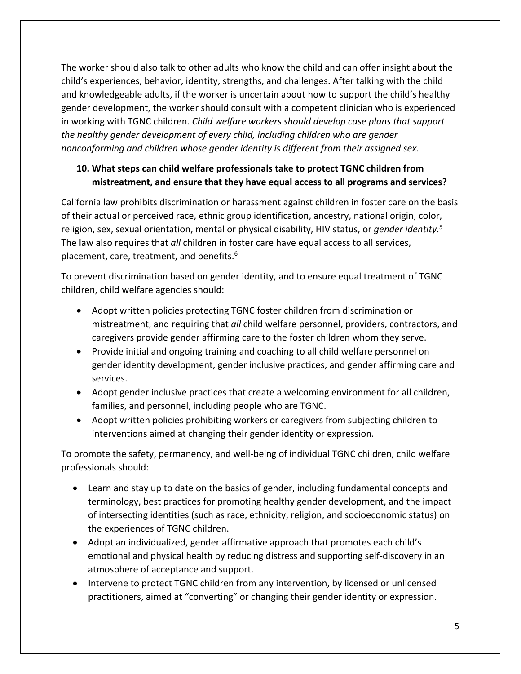The worker should also talk to other adults who know the child and can offer insight about the child's experiences, behavior, identity, strengths, and challenges. After talking with the child and knowledgeable adults, if the worker is uncertain about how to support the child's healthy gender development, the worker should consult with a competent clinician who is experienced in working with TGNC children. *Child welfare workers should develop case plans that support the healthy gender development of every child, including children who are gender nonconforming and children whose gender identity is different from their assigned sex.*

# **10. What steps can child welfare professionals take to protect TGNC children from mistreatment, and ensure that they have equal access to all programs and services?**

California law prohibits discrimination or harassment against children in foster care on the basis of their actual or perceived race, ethnic group identification, ancestry, national origin, color, religion, sex, sexual orientation, mental or physical disability, HIV status, or *gender identity*. 5 The law also requires that *all* children in foster care have equal access to all services, placement, care, treatment, and benefits.<sup>6</sup>

To prevent discrimination based on gender identity, and to ensure equal treatment of TGNC children, child welfare agencies should:

- Adopt written policies protecting TGNC foster children from discrimination or mistreatment, and requiring that *all* child welfare personnel, providers, contractors, and caregivers provide gender affirming care to the foster children whom they serve.
- Provide initial and ongoing training and coaching to all child welfare personnel on gender identity development, gender inclusive practices, and gender affirming care and services.
- Adopt gender inclusive practices that create a welcoming environment for all children, families, and personnel, including people who are TGNC.
- Adopt written policies prohibiting workers or caregivers from subjecting children to interventions aimed at changing their gender identity or expression.

To promote the safety, permanency, and well-being of individual TGNC children, child welfare professionals should:

- Learn and stay up to date on the basics of gender, including fundamental concepts and terminology, best practices for promoting healthy gender development, and the impact of intersecting identities (such as race, ethnicity, religion, and socioeconomic status) on the experiences of TGNC children.
- Adopt an individualized, gender affirmative approach that promotes each child's emotional and physical health by reducing distress and supporting self-discovery in an atmosphere of acceptance and support.
- Intervene to protect TGNC children from any intervention, by licensed or unlicensed practitioners, aimed at "converting" or changing their gender identity or expression.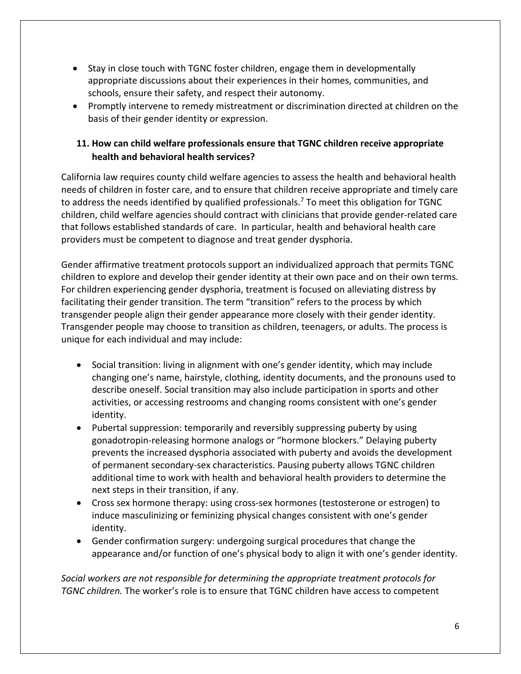- Stay in close touch with TGNC foster children, engage them in developmentally appropriate discussions about their experiences in their homes, communities, and schools, ensure their safety, and respect their autonomy.
- Promptly intervene to remedy mistreatment or discrimination directed at children on the basis of their gender identity or expression.

## **11. How can child welfare professionals ensure that TGNC children receive appropriate health and behavioral health services?**

California law requires county child welfare agencies to assess the health and behavioral health needs of children in foster care, and to ensure that children receive appropriate and timely care to address the needs identified by qualified professionals.<sup>7</sup> To meet this obligation for TGNC children, child welfare agencies should contract with clinicians that provide gender-related care that follows established standards of care. In particular, health and behavioral health care providers must be competent to diagnose and treat gender dysphoria.

Gender affirmative treatment protocols support an individualized approach that permits TGNC children to explore and develop their gender identity at their own pace and on their own terms. For children experiencing gender dysphoria, treatment is focused on alleviating distress by facilitating their gender transition. The term "transition" refers to the process by which transgender people align their gender appearance more closely with their gender identity. Transgender people may choose to transition as children, teenagers, or adults. The process is unique for each individual and may include:

- Social transition: living in alignment with one's gender identity, which may include changing one's name, hairstyle, clothing, identity documents, and the pronouns used to describe oneself. Social transition may also include participation in sports and other activities, or accessing restrooms and changing rooms consistent with one's gender identity.
- Pubertal suppression: temporarily and reversibly suppressing puberty by using gonadotropin-releasing hormone analogs or "hormone blockers." Delaying puberty prevents the increased dysphoria associated with puberty and avoids the development of permanent secondary-sex characteristics. Pausing puberty allows TGNC children additional time to work with health and behavioral health providers to determine the next steps in their transition, if any.
- Cross sex hormone therapy: using cross-sex hormones (testosterone or estrogen) to induce masculinizing or feminizing physical changes consistent with one's gender identity.
- Gender confirmation surgery: undergoing surgical procedures that change the appearance and/or function of one's physical body to align it with one's gender identity.

*Social workers are not responsible for determining the appropriate treatment protocols for TGNC children.* The worker's role is to ensure that TGNC children have access to competent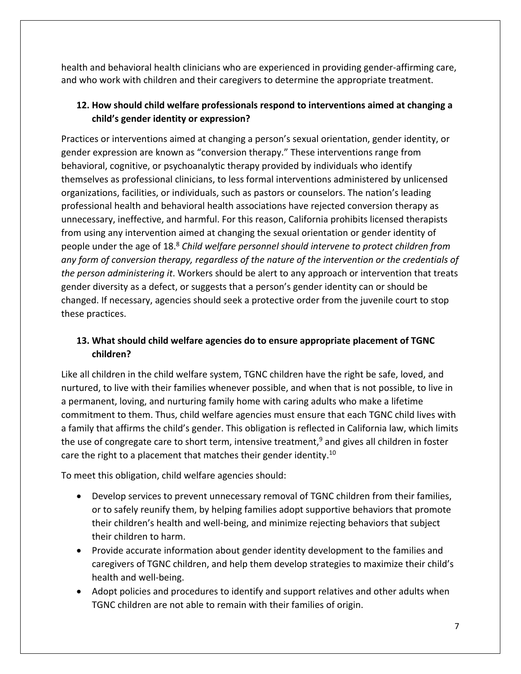health and behavioral health clinicians who are experienced in providing gender-affirming care, and who work with children and their caregivers to determine the appropriate treatment.

# **12. How should child welfare professionals respond to interventions aimed at changing a child's gender identity or expression?**

Practices or interventions aimed at changing a person's sexual orientation, gender identity, or gender expression are known as "conversion therapy." These interventions range from behavioral, cognitive, or psychoanalytic therapy provided by individuals who identify themselves as professional clinicians, to less formal interventions administered by unlicensed organizations, facilities, or individuals, such as pastors or counselors. The nation's leading professional health and behavioral health associations have rejected conversion therapy as unnecessary, ineffective, and harmful. For this reason, California prohibits licensed therapists from using any intervention aimed at changing the sexual orientation or gender identity of people under the age of 18.<sup>8</sup> *Child welfare personnel should intervene to protect children from any form of conversion therapy, regardless of the nature of the intervention or the credentials of the person administering it*. Workers should be alert to any approach or intervention that treats gender diversity as a defect, or suggests that a person's gender identity can or should be changed. If necessary, agencies should seek a protective order from the juvenile court to stop these practices.

# **13. What should child welfare agencies do to ensure appropriate placement of TGNC children?**

Like all children in the child welfare system, TGNC children have the right be safe, loved, and nurtured, to live with their families whenever possible, and when that is not possible, to live in a permanent, loving, and nurturing family home with caring adults who make a lifetime commitment to them. Thus, child welfare agencies must ensure that each TGNC child lives with a family that affirms the child's gender. This obligation is reflected in California law, which limits the use of congregate care to short term, intensive treatment, <sup>9</sup> and gives all children in foster care the right to a placement that matches their gender identity.<sup>10</sup>

To meet this obligation, child welfare agencies should:

- Develop services to prevent unnecessary removal of TGNC children from their families, or to safely reunify them, by helping families adopt supportive behaviors that promote their children's health and well-being, and minimize rejecting behaviors that subject their children to harm.
- Provide accurate information about gender identity development to the families and caregivers of TGNC children, and help them develop strategies to maximize their child's health and well-being.
- Adopt policies and procedures to identify and support relatives and other adults when TGNC children are not able to remain with their families of origin.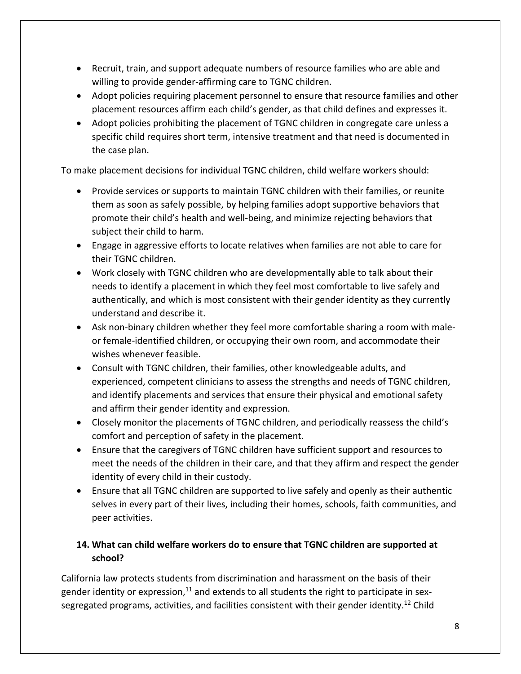- Recruit, train, and support adequate numbers of resource families who are able and willing to provide gender-affirming care to TGNC children.
- Adopt policies requiring placement personnel to ensure that resource families and other placement resources affirm each child's gender, as that child defines and expresses it.
- Adopt policies prohibiting the placement of TGNC children in congregate care unless a specific child requires short term, intensive treatment and that need is documented in the case plan.

To make placement decisions for individual TGNC children, child welfare workers should:

- Provide services or supports to maintain TGNC children with their families, or reunite them as soon as safely possible, by helping families adopt supportive behaviors that promote their child's health and well-being, and minimize rejecting behaviors that subject their child to harm.
- Engage in aggressive efforts to locate relatives when families are not able to care for their TGNC children.
- Work closely with TGNC children who are developmentally able to talk about their needs to identify a placement in which they feel most comfortable to live safely and authentically, and which is most consistent with their gender identity as they currently understand and describe it.
- Ask non-binary children whether they feel more comfortable sharing a room with maleor female-identified children, or occupying their own room, and accommodate their wishes whenever feasible.
- Consult with TGNC children, their families, other knowledgeable adults, and experienced, competent clinicians to assess the strengths and needs of TGNC children, and identify placements and services that ensure their physical and emotional safety and affirm their gender identity and expression.
- Closely monitor the placements of TGNC children, and periodically reassess the child's comfort and perception of safety in the placement.
- Ensure that the caregivers of TGNC children have sufficient support and resources to meet the needs of the children in their care, and that they affirm and respect the gender identity of every child in their custody.
- Ensure that all TGNC children are supported to live safely and openly as their authentic selves in every part of their lives, including their homes, schools, faith communities, and peer activities.

# **14. What can child welfare workers do to ensure that TGNC children are supported at school?**

California law protects students from discrimination and harassment on the basis of their gender identity or expression,<sup>11</sup> and extends to all students the right to participate in sexsegregated programs, activities, and facilities consistent with their gender identity.<sup>12</sup> Child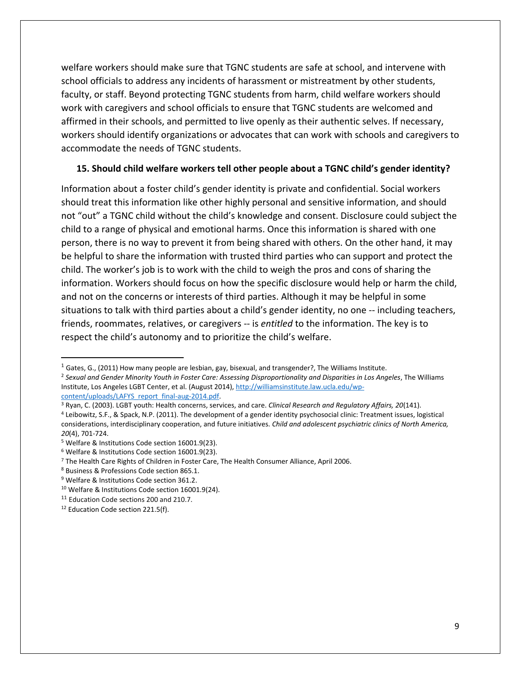welfare workers should make sure that TGNC students are safe at school, and intervene with school officials to address any incidents of harassment or mistreatment by other students, faculty, or staff. Beyond protecting TGNC students from harm, child welfare workers should work with caregivers and school officials to ensure that TGNC students are welcomed and affirmed in their schools, and permitted to live openly as their authentic selves. If necessary, workers should identify organizations or advocates that can work with schools and caregivers to accommodate the needs of TGNC students.

#### **15. Should child welfare workers tell other people about a TGNC child's gender identity?**

Information about a foster child's gender identity is private and confidential. Social workers should treat this information like other highly personal and sensitive information, and should not "out" a TGNC child without the child's knowledge and consent. Disclosure could subject the child to a range of physical and emotional harms. Once this information is shared with one person, there is no way to prevent it from being shared with others. On the other hand, it may be helpful to share the information with trusted third parties who can support and protect the child. The worker's job is to work with the child to weigh the pros and cons of sharing the information. Workers should focus on how the specific disclosure would help or harm the child, and not on the concerns or interests of third parties. Although it may be helpful in some situations to talk with third parties about a child's gender identity, no one -- including teachers, friends, roommates, relatives, or caregivers -- is *entitled* to the information. The key is to respect the child's autonomy and to prioritize the child's welfare.

l

 $<sup>1</sup>$  Gates, G., (2011) How many people are lesbian, gay, bisexual, and transgender?, The Williams Institute.</sup>

<sup>2</sup> *Sexual and Gender Minority Youth in Foster Care: Assessing Disproportionality and Disparities in Los Angeles*, The Williams Institute, Los Angeles LGBT Center, et al. (August 2014), [http://williamsinstitute.law.ucla.edu/wp](http://williamsinstitute.law.ucla.edu/wp-content/uploads/LAFYS_report_final-aug-2014.pdf)content/uploads/LAFYS\_report\_final-aug-2014.pdf.

<sup>3</sup> Ryan, C. (2003). LGBT youth: Health concerns, services, and care. *Clinical Research and Regulatory Affairs, 20*(141).

<sup>4</sup> Leibowitz, S.F., & Spack, N.P. (2011). The development of a gender identity psychosocial clinic: Treatment issues, logistical considerations, interdisciplinary cooperation, and future initiatives. *Child and adolescent psychiatric clinics of North America, 20*(4), 701-724.

<sup>5</sup> Welfare & Institutions Code section 16001.9(23).

<sup>6</sup> Welfare & Institutions Code section 16001.9(23).

<sup>7</sup> The Health Care Rights of Children in Foster Care, The Health Consumer Alliance, April 2006.

<sup>8</sup> Business & Professions Code section 865.1.

<sup>9</sup> Welfare & Institutions Code section 361.2.

<sup>&</sup>lt;sup>10</sup> Welfare & Institutions Code section 16001.9(24).

<sup>&</sup>lt;sup>11</sup> Education Code sections 200 and 210.7.

<sup>&</sup>lt;sup>12</sup> Education Code section 221.5(f).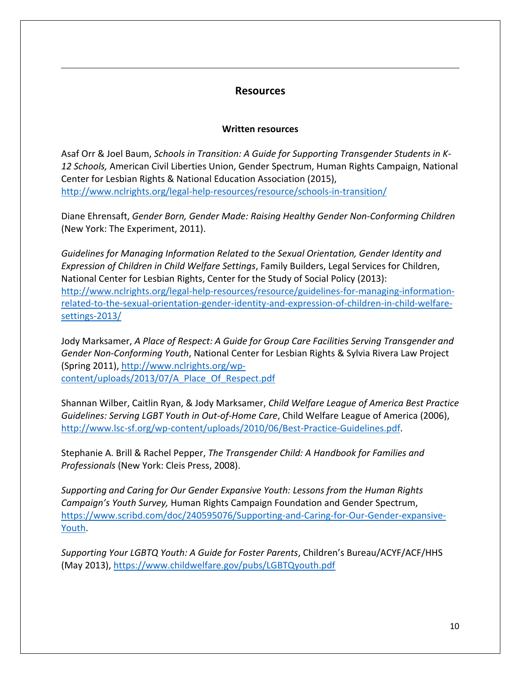## **Resources**

 $\overline{a}$ 

#### **Written resources**

Asaf Orr & Joel Baum, *Schools in Transition: A Guide for Supporting Transgender Students in K-12 Schools,* American Civil Liberties Union, Gender Spectrum, Human Rights Campaign, National Center for Lesbian Rights & National Education Association (2015), <http://www.nclrights.org/legal-help-resources/resource/schools-in-transition/>

Diane Ehrensaft, *Gender Born, Gender Made: Raising Healthy Gender Non-Conforming Children* (New York: The Experiment, 2011).

*Guidelines for Managing Information Related to the Sexual Orientation, Gender Identity and Expression of Children in Child Welfare Settings*, Family Builders, Legal Services for Children, National Center for Lesbian Rights, Center for the Study of Social Policy (2013): [http://www.nclrights.org/legal-help-resources/resource/guidelines-for-managing-information](http://www.nclrights.org/legal-help-resources/resource/guidelines-for-managing-information-related-to-the-sexual-orientation-gender-identity-and-expression-of-children-in-child-welfare-settings-2013/)[related-to-the-sexual-orientation-gender-identity-and-expression-of-children-in-child-welfare](http://www.nclrights.org/legal-help-resources/resource/guidelines-for-managing-information-related-to-the-sexual-orientation-gender-identity-and-expression-of-children-in-child-welfare-settings-2013/)[settings-2013/](http://www.nclrights.org/legal-help-resources/resource/guidelines-for-managing-information-related-to-the-sexual-orientation-gender-identity-and-expression-of-children-in-child-welfare-settings-2013/)

Jody Marksamer, *A Place of Respect: A Guide for Group Care Facilities Serving Transgender and Gender Non-Conforming Youth*, National Center for Lesbian Rights & Sylvia Rivera Law Project (Spring 2011)[, http://www.nclrights.org/wp](http://www.nclrights.org/wp-content/uploads/2013/07/A_Place_Of_Respect.pdf)[content/uploads/2013/07/A\\_Place\\_Of\\_Respect.pdf](http://www.nclrights.org/wp-content/uploads/2013/07/A_Place_Of_Respect.pdf)

Shannan Wilber, Caitlin Ryan, & Jody Marksamer, *Child Welfare League of America Best Practice Guidelines: Serving LGBT Youth in Out-of-Home Care*, Child Welfare League of America (2006), [http://www.lsc-sf.org/wp-content/uploads/2010/06/Best-Practice-Guidelines.pdf.](http://www.lsc-sf.org/wp-content/uploads/2010/06/Best-Practice-Guidelines.pdf)

Stephanie A. Brill & Rachel Pepper, *The Transgender Child: A Handbook for Families and Professionals* (New York: Cleis Press, 2008).

*Supporting and Caring for Our Gender Expansive Youth: Lessons from the Human Rights Campaign's Youth Survey,* Human Rights Campaign Foundation and Gender Spectrum, [https://www.scribd.com/doc/240595076/Supporting-and-Caring-for-Our-Gender-expansive-](https://www.scribd.com/doc/240595076/Supporting-and-Caring-for-Our-Gender-expansive-Youth)[Youth.](https://www.scribd.com/doc/240595076/Supporting-and-Caring-for-Our-Gender-expansive-Youth)

*Supporting Your LGBTQ Youth: A Guide for Foster Parents*, Children's Bureau/ACYF/ACF/HHS (May 2013),<https://www.childwelfare.gov/pubs/LGBTQyouth.pdf>